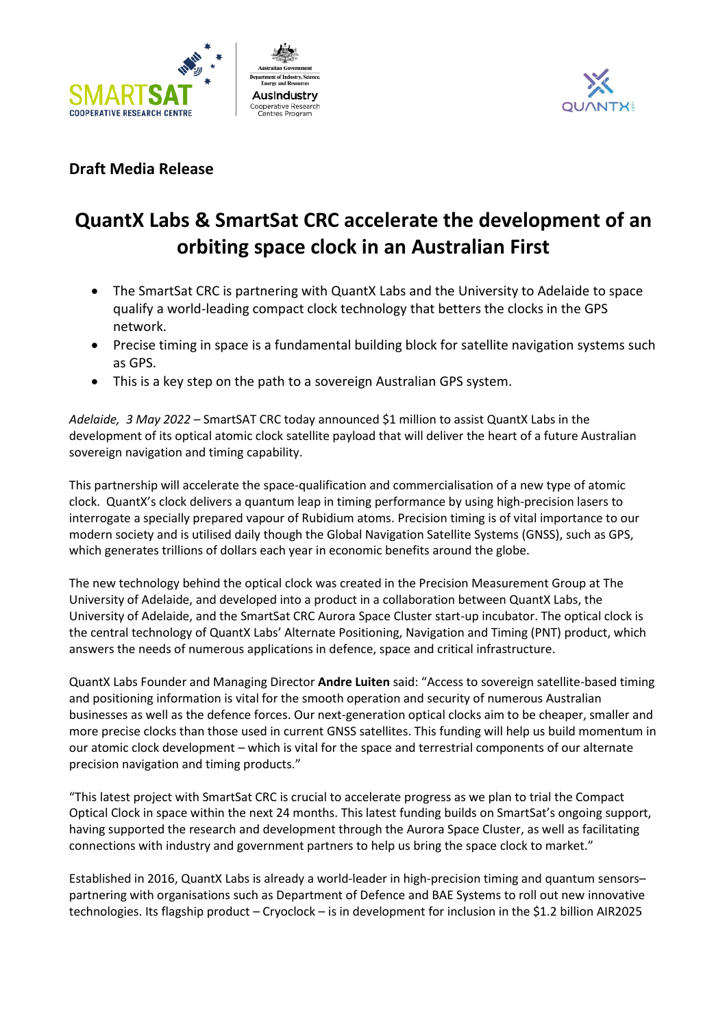





## **Draft Media Release**

## **QuantX Labs & SmartSat CRC accelerate the development of an orbiting space clock in an Australian First**

- The SmartSat CRC is partnering with QuantX Labs and the University to Adelaide to space qualify a world-leading compact clock technology that betters the clocks in the GPS network.
- Precise timing in space is a fundamental building block for satellite navigation systems such as GPS.
- This is a key step on the path to a sovereign Australian GPS system.

*Adelaide, 3 May 2022 –* SmartSAT CRC today announced \$1 million to assist QuantX Labs in the development of its optical atomic clock satellite payload that will deliver the heart of a future Australian sovereign navigation and timing capability.

This partnership will accelerate the space-qualification and commercialisation of a new type of atomic clock. QuantX's clock delivers a quantum leap in timing performance by using high-precision lasers to interrogate a specially prepared vapour of Rubidium atoms. Precision timing is of vital importance to our modern society and is utilised daily though the Global Navigation Satellite Systems (GNSS), such as GPS, which generates trillions of dollars each year in economic benefits around the globe.

The new technology behind the optical clock was created in the Precision Measurement Group at The University of Adelaide, and developed into a product in a collaboration between QuantX Labs, the University of Adelaide, and the SmartSat CRC Aurora Space Cluster start-up incubator. The optical clock is the central technology of QuantX Labs' Alternate Positioning, Navigation and Timing (PNT) product, which answers the needs of numerous applications in defence, space and critical infrastructure.

QuantX Labs Founder and Managing Director **Andre Luiten** said: "Access to sovereign satellite-based timing and positioning information is vital for the smooth operation and security of numerous Australian businesses as well as the defence forces. Our next-generation optical clocks aim to be cheaper, smaller and more precise clocks than those used in current GNSS satellites. This funding will help us build momentum in our atomic clock development – which is vital for the space and terrestrial components of our alternate precision navigation and timing products."

"This latest project with SmartSat CRC is crucial to accelerate progress as we plan to trial the Compact Optical Clock in space within the next 24 months. This latest funding builds on SmartSat's ongoing support, having supported the research and development through the Aurora Space Cluster, as well as facilitating connections with industry and government partners to help us bring the space clock to market."

Established in 2016, QuantX Labs is already a world-leader in high-precision timing and quantum sensors– partnering with organisations such as Department of Defence and BAE Systems to roll out new innovative technologies. Its flagship product – Cryoclock – is in development for inclusion in the \$1.2 billion AIR2025